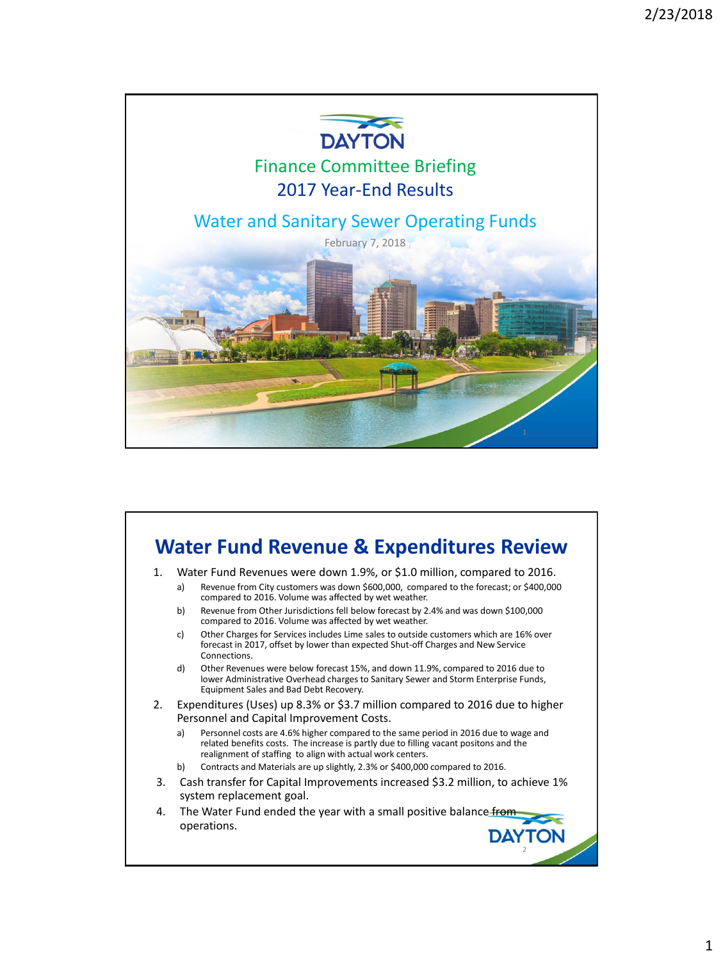

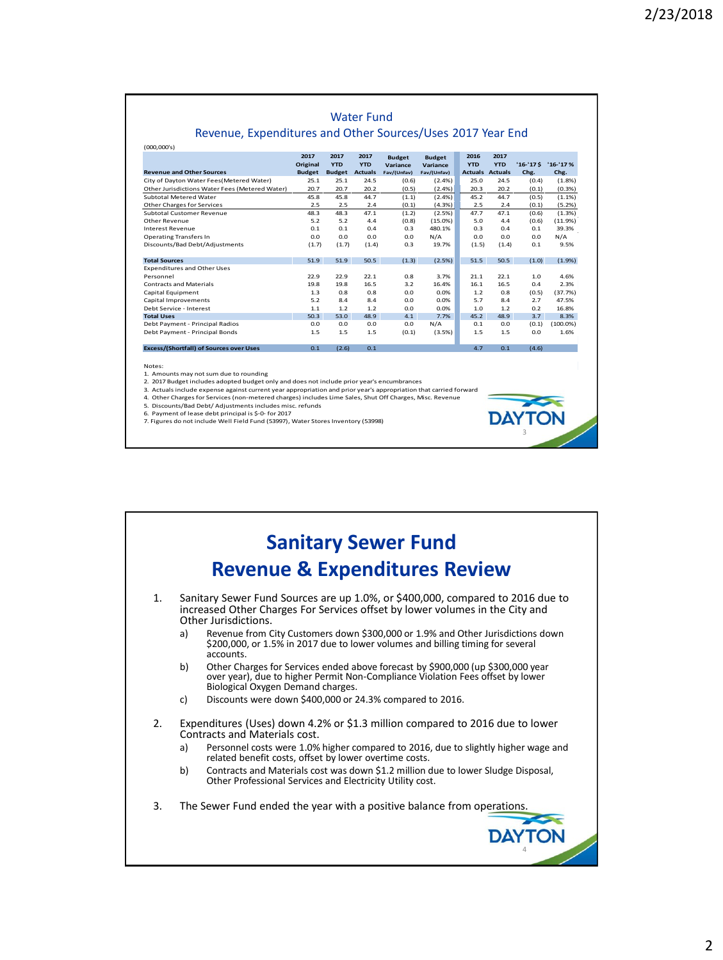|                                                |                  |                    |                    |                           | Revenue, Expenditures and Other Sources/Uses 2017 Year End |                        |                    |            |             |
|------------------------------------------------|------------------|--------------------|--------------------|---------------------------|------------------------------------------------------------|------------------------|--------------------|------------|-------------|
| (000,000's)                                    |                  |                    |                    |                           |                                                            |                        |                    |            |             |
|                                                | 2017<br>Original | 2017<br><b>YTD</b> | 2017<br><b>YTD</b> | <b>Budget</b><br>Variance | <b>Budget</b><br>Variance                                  | 2016<br><b>YTD</b>     | 2017<br><b>YTD</b> | $'16-'17S$ | $'16-'17%$  |
| <b>Revenue and Other Sources</b>               | <b>Budget</b>    | <b>Budget</b>      | <b>Actuals</b>     | Fav/(Unfav)               | Fav/(Unfav)                                                | <b>Actuals Actuals</b> |                    | Chg.       | Chg.        |
| City of Dayton Water Fees(Metered Water)       | 25.1             | 25.1               | 24.5               | (0.6)                     | $(2.4\%)$                                                  | 25.0                   | 24.5               | (0.4)      | (1.8%)      |
| Other Jurisdictions Water Fees (Metered Water) | 20.7             | 20.7               | 20.2               | (0.5)                     | (2.4%)                                                     | 20.3                   | 20.2               | (0.1)      | (0.3%       |
| Subtotal Metered Water                         | 45.8             | 45.8               | 44.7               | (1.1)                     | (2.4%)                                                     | 45.2                   | 44.7               | (0.5)      | (1.1%)      |
| Other Charges for Services                     | 2.5              | 2.5                | 2.4                | (0.1)                     | (4.3%)                                                     | 2.5                    | 2.4                | (0.1)      | (5.2%)      |
| Subtotal Customer Revenue                      | 48.3             | 48.3               | 47.1               | (1.2)                     | (2.5%)                                                     | 47.7                   | 47.1               | (0.6)      | (1.3%)      |
| Other Revenue                                  | 5.2              | 5.2                | 4.4                | (0.8)                     | $(15.0\%)$                                                 | 5.0                    | 4.4                | (0.6)      | (11.9%)     |
| <b>Interest Revenue</b>                        | 0.1              | 0.1                | 0.4                | 0.3                       | 480.1%                                                     | 0.3                    | 0.4                | 0.1        | 39.3%       |
| <b>Operating Transfers In</b>                  | 0.0              | 0.0                | 0.0                | 0.0                       | N/A                                                        | 0.0                    | 0.0                | 0.0        | N/A         |
| Discounts/Bad Debt/Adjustments                 | (1.7)            | (1.7)              | (1.4)              | 0.3                       | 19.7%                                                      | (1.5)                  | (1.4)              | 0.1        | 9.5%        |
| <b>Total Sources</b>                           | 51.9             | 51.9               | 50.5               | (1.3)                     | (2.5%)                                                     | 51.5                   | 50.5               | (1.0)      | (1.9%)      |
| <b>Expenditures and Other Uses</b>             |                  |                    |                    |                           |                                                            |                        |                    |            |             |
| Personnel                                      | 22.9             | 22.9               | 22.1               | 0.8                       | 3.7%                                                       | 21.1                   | 22.1               | 1.0        | 4.6%        |
| <b>Contracts and Materials</b>                 | 19.8             | 19.8               | 16.5               | 3.2                       | 16.4%                                                      | 16.1                   | 16.5               | 0.4        | 2.3%        |
| Capital Equipment                              | 1.3              | 0.8                | 0.8                | 0.0                       | 0.0%                                                       | 1.2                    | 0.8                | (0.5)      | (37.7%)     |
| Capital Improvements                           | 5.2              | 8.4                | 8.4                | 0.0                       | 0.0%                                                       | 5.7                    | 8.4                | 2.7        | 47.5%       |
| Debt Service - Interest                        | 1.1              | 1.2                | 1.2                | 0.0                       | 0.0%                                                       | 1.0                    | 1.2                | 0.2        | 16.8%       |
| <b>Total Uses</b>                              | 50.3             | 53.0               | 48.9               | 4.1                       | 7.7%                                                       | 45.2                   | 48.9               | 3.7        | 8.3%        |
| Debt Payment - Principal Radios                | 0.0              | 0.0                | 0.0                | 0.0                       | N/A                                                        | 0.1                    | 0.0                | (0.1)      | $(100.0\%)$ |
| Debt Payment - Principal Bonds                 | 1.5              | 1.5                | 1.5                | (0.1)                     | (3.5%)                                                     | 1.5                    | 1.5                | 0.0        | 1.6%        |
| <b>Excess/(Shortfall) of Sources over Uses</b> | 0.1              | (2.6)              | 0.1                |                           |                                                            | 4.7                    | 0.1                | (4.6)      |             |

3

Notes: 1. Amounts may not sum due to rounding

2. 2017 Budget includes adopted budget only and does not include prior year's encumbrances

3. Actuals include expense against current year appropriation and prior year's appropriation that carried forward 4. Other Charges for Services (non-metered charges) includes Lime Sales, Shut Off Charges, Misc. Revenue

5. Discounts/Bad Debt/ Adjustments includes misc. refunds 6. Payment of lease debt principal is \$-0- for 2017

7. Figures do not include Well Field Fund (53997), Water Stores Inventory (53998)